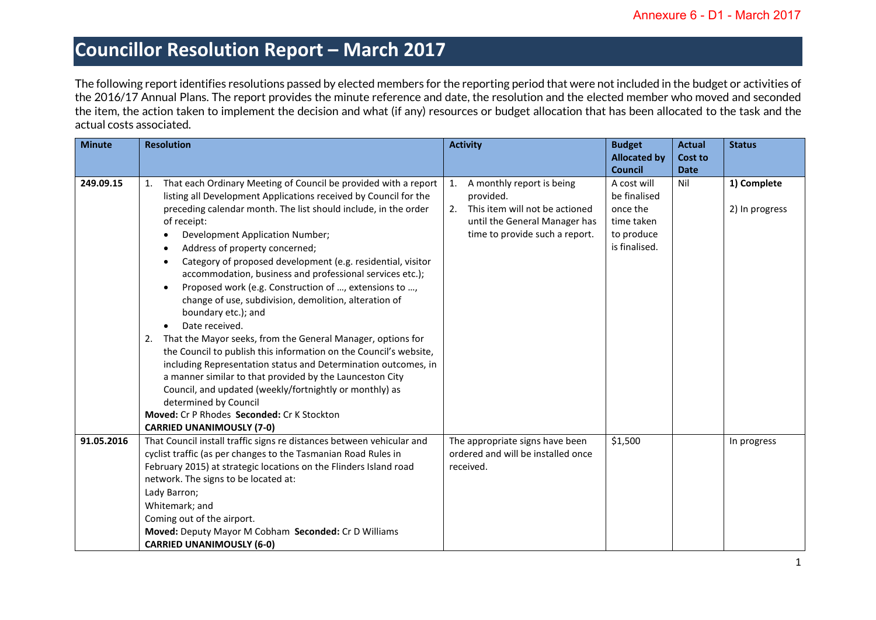The following report identifies resolutions passed by elected members for the reporting period that were not included in the budget or activities of the 2016/17 Annual Plans. The report provides the minute reference and date, the resolution and the elected member who moved and seconded the item, the action taken to implement the decision and what (if any) resources or budget allocation that has been allocated to the task and the actual costs associated.

| <b>Minute</b> | <b>Resolution</b>                                                        | <b>Activity</b>                      | <b>Budget</b>       | <b>Actual</b>  | <b>Status</b>  |
|---------------|--------------------------------------------------------------------------|--------------------------------------|---------------------|----------------|----------------|
|               |                                                                          |                                      | <b>Allocated by</b> | <b>Cost to</b> |                |
|               |                                                                          |                                      | <b>Council</b>      | <b>Date</b>    |                |
| 249.09.15     | That each Ordinary Meeting of Council be provided with a report<br>1.    | A monthly report is being<br>1.      | A cost will         | Nil            | 1) Complete    |
|               | listing all Development Applications received by Council for the         | provided.                            | be finalised        |                |                |
|               | preceding calendar month. The list should include, in the order          | 2.<br>This item will not be actioned | once the            |                | 2) In progress |
|               | of receipt:                                                              | until the General Manager has        | time taken          |                |                |
|               | Development Application Number;<br>$\bullet$                             | time to provide such a report.       | to produce          |                |                |
|               | Address of property concerned;<br>$\bullet$                              |                                      | is finalised.       |                |                |
|               | Category of proposed development (e.g. residential, visitor<br>$\bullet$ |                                      |                     |                |                |
|               | accommodation, business and professional services etc.);                 |                                      |                     |                |                |
|               | Proposed work (e.g. Construction of , extensions to ,<br>$\bullet$       |                                      |                     |                |                |
|               | change of use, subdivision, demolition, alteration of                    |                                      |                     |                |                |
|               | boundary etc.); and                                                      |                                      |                     |                |                |
|               | Date received.<br>$\bullet$                                              |                                      |                     |                |                |
|               | That the Mayor seeks, from the General Manager, options for<br>2.        |                                      |                     |                |                |
|               | the Council to publish this information on the Council's website,        |                                      |                     |                |                |
|               | including Representation status and Determination outcomes, in           |                                      |                     |                |                |
|               | a manner similar to that provided by the Launceston City                 |                                      |                     |                |                |
|               | Council, and updated (weekly/fortnightly or monthly) as                  |                                      |                     |                |                |
|               | determined by Council                                                    |                                      |                     |                |                |
|               | Moved: Cr P Rhodes Seconded: Cr K Stockton                               |                                      |                     |                |                |
|               | <b>CARRIED UNANIMOUSLY (7-0)</b>                                         |                                      |                     |                |                |
| 91.05.2016    | That Council install traffic signs re distances between vehicular and    | The appropriate signs have been      | \$1,500             |                | In progress    |
|               | cyclist traffic (as per changes to the Tasmanian Road Rules in           | ordered and will be installed once   |                     |                |                |
|               | February 2015) at strategic locations on the Flinders Island road        | received.                            |                     |                |                |
|               | network. The signs to be located at:                                     |                                      |                     |                |                |
|               | Lady Barron;                                                             |                                      |                     |                |                |
|               | Whitemark; and                                                           |                                      |                     |                |                |
|               | Coming out of the airport.                                               |                                      |                     |                |                |
|               | Moved: Deputy Mayor M Cobham Seconded: Cr D Williams                     |                                      |                     |                |                |
|               | <b>CARRIED UNANIMOUSLY (6-0)</b>                                         |                                      |                     |                |                |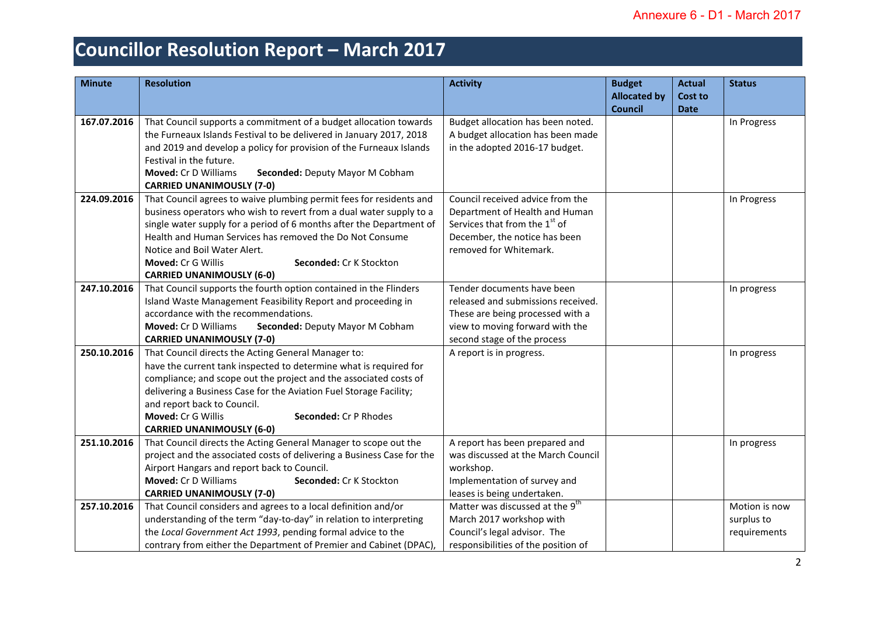| <b>Minute</b> | <b>Resolution</b>                                                                                                                                                                                                                                                                                                                                                                                          | <b>Activity</b>                                                                                                                                                            | <b>Budget</b><br><b>Allocated by</b><br><b>Council</b> | <b>Actual</b><br><b>Cost to</b><br><b>Date</b> | <b>Status</b>                               |
|---------------|------------------------------------------------------------------------------------------------------------------------------------------------------------------------------------------------------------------------------------------------------------------------------------------------------------------------------------------------------------------------------------------------------------|----------------------------------------------------------------------------------------------------------------------------------------------------------------------------|--------------------------------------------------------|------------------------------------------------|---------------------------------------------|
| 167.07.2016   | That Council supports a commitment of a budget allocation towards<br>the Furneaux Islands Festival to be delivered in January 2017, 2018<br>and 2019 and develop a policy for provision of the Furneaux Islands<br>Festival in the future.<br><b>Moved: Cr D Williams</b><br>Seconded: Deputy Mayor M Cobham<br><b>CARRIED UNANIMOUSLY (7-0)</b>                                                           | Budget allocation has been noted.<br>A budget allocation has been made<br>in the adopted 2016-17 budget.                                                                   |                                                        |                                                | In Progress                                 |
| 224.09.2016   | That Council agrees to waive plumbing permit fees for residents and<br>business operators who wish to revert from a dual water supply to a<br>single water supply for a period of 6 months after the Department of<br>Health and Human Services has removed the Do Not Consume<br>Notice and Boil Water Alert.<br><b>Moved: Cr G Willis</b><br>Seconded: Cr K Stockton<br><b>CARRIED UNANIMOUSLY (6-0)</b> | Council received advice from the<br>Department of Health and Human<br>Services that from the 1 <sup>st</sup> of<br>December, the notice has been<br>removed for Whitemark. |                                                        |                                                | In Progress                                 |
| 247.10.2016   | That Council supports the fourth option contained in the Flinders<br>Island Waste Management Feasibility Report and proceeding in<br>accordance with the recommendations.<br>Moved: Cr D Williams<br>Seconded: Deputy Mayor M Cobham<br><b>CARRIED UNANIMOUSLY (7-0)</b>                                                                                                                                   | Tender documents have been<br>released and submissions received.<br>These are being processed with a<br>view to moving forward with the<br>second stage of the process     |                                                        |                                                | In progress                                 |
| 250.10.2016   | That Council directs the Acting General Manager to:<br>have the current tank inspected to determine what is required for<br>compliance; and scope out the project and the associated costs of<br>delivering a Business Case for the Aviation Fuel Storage Facility;<br>and report back to Council.<br>Moved: Cr G Willis<br>Seconded: Cr P Rhodes<br><b>CARRIED UNANIMOUSLY (6-0)</b>                      | A report is in progress.                                                                                                                                                   |                                                        |                                                | In progress                                 |
| 251.10.2016   | That Council directs the Acting General Manager to scope out the<br>project and the associated costs of delivering a Business Case for the<br>Airport Hangars and report back to Council.<br>Moved: Cr D Williams<br>Seconded: Cr K Stockton<br><b>CARRIED UNANIMOUSLY (7-0)</b>                                                                                                                           | A report has been prepared and<br>was discussed at the March Council<br>workshop.<br>Implementation of survey and<br>leases is being undertaken.                           |                                                        |                                                | In progress                                 |
| 257.10.2016   | That Council considers and agrees to a local definition and/or<br>understanding of the term "day-to-day" in relation to interpreting<br>the Local Government Act 1993, pending formal advice to the<br>contrary from either the Department of Premier and Cabinet (DPAC),                                                                                                                                  | Matter was discussed at the 9 <sup>th</sup><br>March 2017 workshop with<br>Council's legal advisor. The<br>responsibilities of the position of                             |                                                        |                                                | Motion is now<br>surplus to<br>requirements |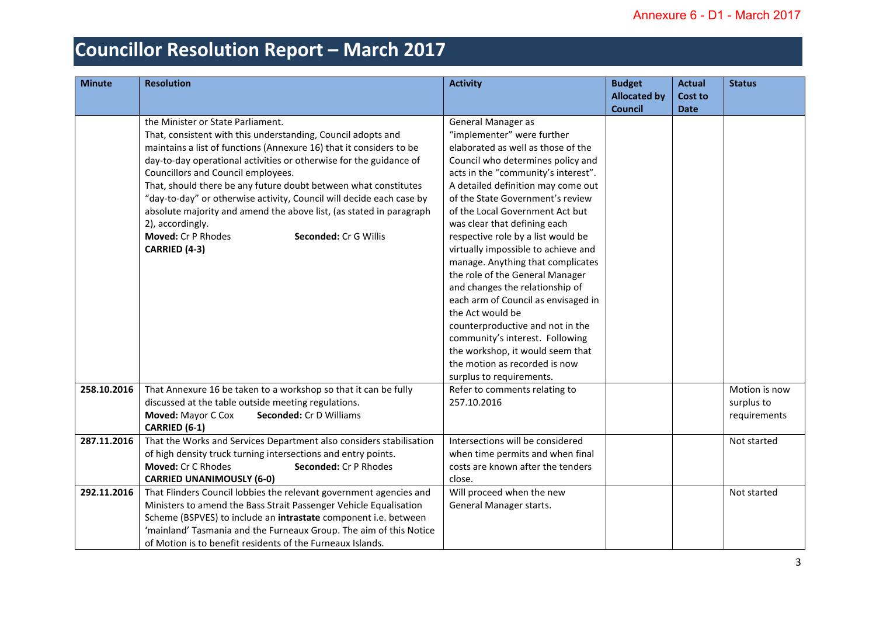| <b>Minute</b> | <b>Resolution</b>                                                                                                                                                                                                                                                                                                                                                                                                                                                                                                                                                                          | <b>Activity</b>                                                                                                                                                                                                                                                                                                                                                                                                                                                                                                                                                                                                                                                                                                | <b>Budget</b><br><b>Allocated by</b> | <b>Actual</b><br>Cost to | <b>Status</b>                               |
|---------------|--------------------------------------------------------------------------------------------------------------------------------------------------------------------------------------------------------------------------------------------------------------------------------------------------------------------------------------------------------------------------------------------------------------------------------------------------------------------------------------------------------------------------------------------------------------------------------------------|----------------------------------------------------------------------------------------------------------------------------------------------------------------------------------------------------------------------------------------------------------------------------------------------------------------------------------------------------------------------------------------------------------------------------------------------------------------------------------------------------------------------------------------------------------------------------------------------------------------------------------------------------------------------------------------------------------------|--------------------------------------|--------------------------|---------------------------------------------|
|               |                                                                                                                                                                                                                                                                                                                                                                                                                                                                                                                                                                                            |                                                                                                                                                                                                                                                                                                                                                                                                                                                                                                                                                                                                                                                                                                                | <b>Council</b>                       | <b>Date</b>              |                                             |
|               | the Minister or State Parliament.<br>That, consistent with this understanding, Council adopts and<br>maintains a list of functions (Annexure 16) that it considers to be<br>day-to-day operational activities or otherwise for the guidance of<br>Councillors and Council employees.<br>That, should there be any future doubt between what constitutes<br>"day-to-day" or otherwise activity, Council will decide each case by<br>absolute majority and amend the above list, (as stated in paragraph<br>2), accordingly.<br>Moved: Cr P Rhodes<br>Seconded: Cr G Willis<br>CARRIED (4-3) | General Manager as<br>"implementer" were further<br>elaborated as well as those of the<br>Council who determines policy and<br>acts in the "community's interest".<br>A detailed definition may come out<br>of the State Government's review<br>of the Local Government Act but<br>was clear that defining each<br>respective role by a list would be<br>virtually impossible to achieve and<br>manage. Anything that complicates<br>the role of the General Manager<br>and changes the relationship of<br>each arm of Council as envisaged in<br>the Act would be<br>counterproductive and not in the<br>community's interest. Following<br>the workshop, it would seem that<br>the motion as recorded is now |                                      |                          |                                             |
|               |                                                                                                                                                                                                                                                                                                                                                                                                                                                                                                                                                                                            | surplus to requirements.                                                                                                                                                                                                                                                                                                                                                                                                                                                                                                                                                                                                                                                                                       |                                      |                          |                                             |
| 258.10.2016   | That Annexure 16 be taken to a workshop so that it can be fully<br>discussed at the table outside meeting regulations.<br>Moved: Mayor C Cox<br>Seconded: Cr D Williams<br>CARRIED (6-1)                                                                                                                                                                                                                                                                                                                                                                                                   | Refer to comments relating to<br>257.10.2016                                                                                                                                                                                                                                                                                                                                                                                                                                                                                                                                                                                                                                                                   |                                      |                          | Motion is now<br>surplus to<br>requirements |
| 287.11.2016   | That the Works and Services Department also considers stabilisation<br>of high density truck turning intersections and entry points.<br>Moved: Cr C Rhodes<br>Seconded: Cr P Rhodes<br><b>CARRIED UNANIMOUSLY (6-0)</b>                                                                                                                                                                                                                                                                                                                                                                    | Intersections will be considered<br>when time permits and when final<br>costs are known after the tenders<br>close.                                                                                                                                                                                                                                                                                                                                                                                                                                                                                                                                                                                            |                                      |                          | Not started                                 |
| 292.11.2016   | That Flinders Council lobbies the relevant government agencies and<br>Ministers to amend the Bass Strait Passenger Vehicle Equalisation<br>Scheme (BSPVES) to include an intrastate component i.e. between<br>'mainland' Tasmania and the Furneaux Group. The aim of this Notice<br>of Motion is to benefit residents of the Furneaux Islands.                                                                                                                                                                                                                                             | Will proceed when the new<br>General Manager starts.                                                                                                                                                                                                                                                                                                                                                                                                                                                                                                                                                                                                                                                           |                                      |                          | Not started                                 |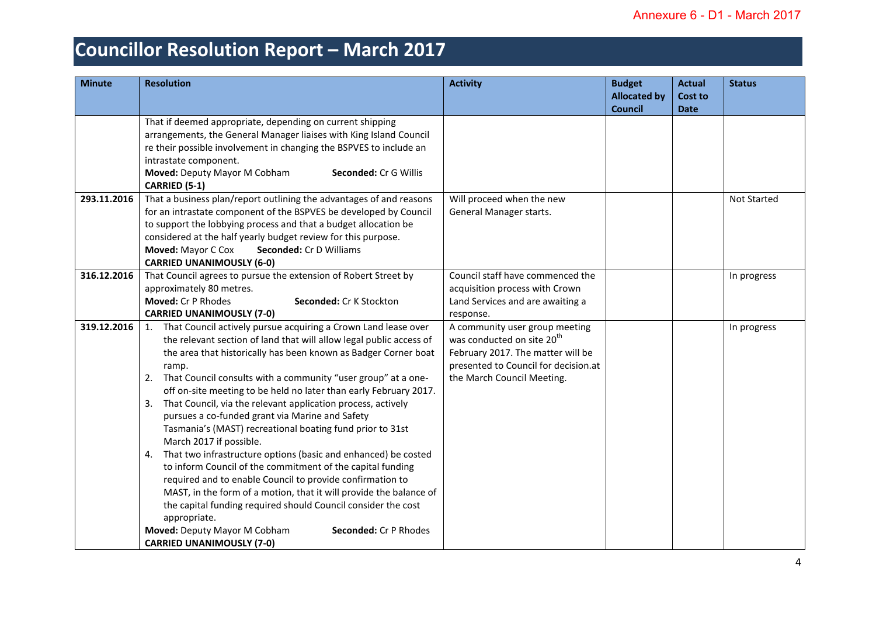| <b>Minute</b> | <b>Resolution</b>                                                                                                                                                                                                                                                                                                                                                                                                                                                                                                                                                                                                                                                                                                                                                                                                                                                                                                                                                                                                                  | <b>Activity</b>                                                                                                                                                                     | <b>Budget</b><br><b>Allocated by</b><br><b>Council</b> | <b>Actual</b><br>Cost to<br><b>Date</b> | <b>Status</b> |
|---------------|------------------------------------------------------------------------------------------------------------------------------------------------------------------------------------------------------------------------------------------------------------------------------------------------------------------------------------------------------------------------------------------------------------------------------------------------------------------------------------------------------------------------------------------------------------------------------------------------------------------------------------------------------------------------------------------------------------------------------------------------------------------------------------------------------------------------------------------------------------------------------------------------------------------------------------------------------------------------------------------------------------------------------------|-------------------------------------------------------------------------------------------------------------------------------------------------------------------------------------|--------------------------------------------------------|-----------------------------------------|---------------|
|               | That if deemed appropriate, depending on current shipping<br>arrangements, the General Manager liaises with King Island Council<br>re their possible involvement in changing the BSPVES to include an<br>intrastate component.<br>Moved: Deputy Mayor M Cobham<br>Seconded: Cr G Willis<br><b>CARRIED (5-1)</b>                                                                                                                                                                                                                                                                                                                                                                                                                                                                                                                                                                                                                                                                                                                    |                                                                                                                                                                                     |                                                        |                                         |               |
| 293.11.2016   | That a business plan/report outlining the advantages of and reasons<br>for an intrastate component of the BSPVES be developed by Council<br>to support the lobbying process and that a budget allocation be<br>considered at the half yearly budget review for this purpose.<br>Moved: Mayor C Cox<br><b>Seconded: Cr D Williams</b><br><b>CARRIED UNANIMOUSLY (6-0)</b>                                                                                                                                                                                                                                                                                                                                                                                                                                                                                                                                                                                                                                                           | Will proceed when the new<br>General Manager starts.                                                                                                                                |                                                        |                                         | Not Started   |
| 316.12.2016   | That Council agrees to pursue the extension of Robert Street by<br>approximately 80 metres.<br>Moved: Cr P Rhodes<br>Seconded: Cr K Stockton<br><b>CARRIED UNANIMOUSLY (7-0)</b>                                                                                                                                                                                                                                                                                                                                                                                                                                                                                                                                                                                                                                                                                                                                                                                                                                                   | Council staff have commenced the<br>acquisition process with Crown<br>Land Services and are awaiting a<br>response.                                                                 |                                                        |                                         | In progress   |
| 319.12.2016   | 1. That Council actively pursue acquiring a Crown Land lease over<br>the relevant section of land that will allow legal public access of<br>the area that historically has been known as Badger Corner boat<br>ramp.<br>2. That Council consults with a community "user group" at a one-<br>off on-site meeting to be held no later than early February 2017.<br>3. That Council, via the relevant application process, actively<br>pursues a co-funded grant via Marine and Safety<br>Tasmania's (MAST) recreational boating fund prior to 31st<br>March 2017 if possible.<br>That two infrastructure options (basic and enhanced) be costed<br>4.<br>to inform Council of the commitment of the capital funding<br>required and to enable Council to provide confirmation to<br>MAST, in the form of a motion, that it will provide the balance of<br>the capital funding required should Council consider the cost<br>appropriate.<br>Moved: Deputy Mayor M Cobham<br>Seconded: Cr P Rhodes<br><b>CARRIED UNANIMOUSLY (7-0)</b> | A community user group meeting<br>was conducted on site 20 <sup>th</sup><br>February 2017. The matter will be<br>presented to Council for decision.at<br>the March Council Meeting. |                                                        |                                         | In progress   |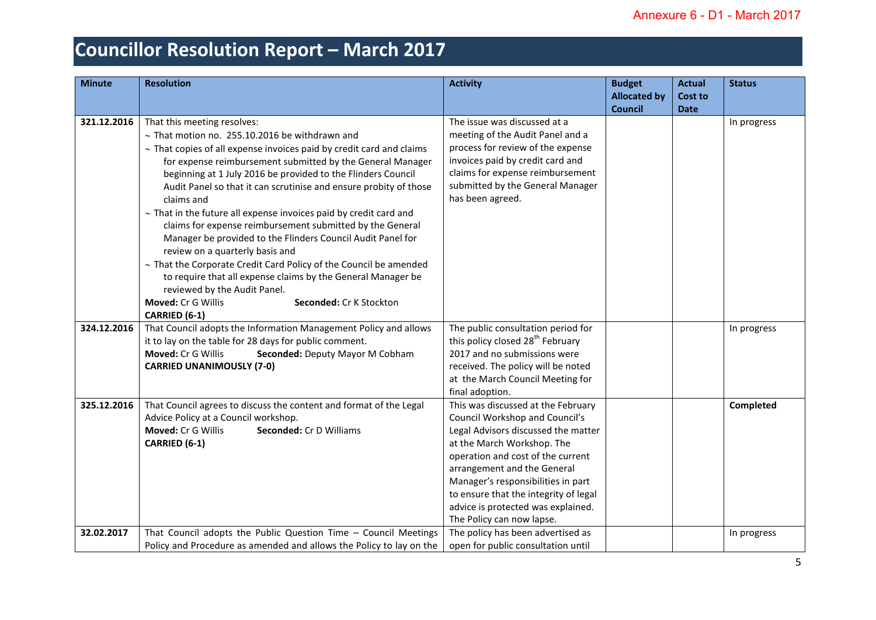| <b>Minute</b> | <b>Resolution</b>                                                                                                                                                                                                                                                                                                                                                                                                                                                                                                                                                                                                                                                                                                                                                                                                                                    | <b>Activity</b>                                                                                                                                                                                                                                                                                                                                                 | <b>Budget</b><br><b>Allocated by</b> | <b>Actual</b><br><b>Cost to</b> | <b>Status</b> |
|---------------|------------------------------------------------------------------------------------------------------------------------------------------------------------------------------------------------------------------------------------------------------------------------------------------------------------------------------------------------------------------------------------------------------------------------------------------------------------------------------------------------------------------------------------------------------------------------------------------------------------------------------------------------------------------------------------------------------------------------------------------------------------------------------------------------------------------------------------------------------|-----------------------------------------------------------------------------------------------------------------------------------------------------------------------------------------------------------------------------------------------------------------------------------------------------------------------------------------------------------------|--------------------------------------|---------------------------------|---------------|
| 321.12.2016   | That this meeting resolves:<br>$\sim$ That motion no. 255.10.2016 be withdrawn and<br>$\sim$ That copies of all expense invoices paid by credit card and claims<br>for expense reimbursement submitted by the General Manager<br>beginning at 1 July 2016 be provided to the Flinders Council<br>Audit Panel so that it can scrutinise and ensure probity of those<br>claims and<br>$\sim$ That in the future all expense invoices paid by credit card and<br>claims for expense reimbursement submitted by the General<br>Manager be provided to the Flinders Council Audit Panel for<br>review on a quarterly basis and<br>$\sim$ That the Corporate Credit Card Policy of the Council be amended<br>to require that all expense claims by the General Manager be<br>reviewed by the Audit Panel.<br>Moved: Cr G Willis<br>Seconded: Cr K Stockton | The issue was discussed at a<br>meeting of the Audit Panel and a<br>process for review of the expense<br>invoices paid by credit card and<br>claims for expense reimbursement<br>submitted by the General Manager<br>has been agreed.                                                                                                                           | <b>Council</b>                       | <b>Date</b>                     | In progress   |
| 324.12.2016   | CARRIED (6-1)<br>That Council adopts the Information Management Policy and allows<br>it to lay on the table for 28 days for public comment.<br>Moved: Cr G Willis<br>Seconded: Deputy Mayor M Cobham<br><b>CARRIED UNANIMOUSLY (7-0)</b>                                                                                                                                                                                                                                                                                                                                                                                                                                                                                                                                                                                                             | The public consultation period for<br>this policy closed 28 <sup>th</sup> February<br>2017 and no submissions were<br>received. The policy will be noted<br>at the March Council Meeting for<br>final adoption.                                                                                                                                                 |                                      |                                 | In progress   |
| 325.12.2016   | That Council agrees to discuss the content and format of the Legal<br>Advice Policy at a Council workshop.<br>Moved: Cr G Willis<br>Seconded: Cr D Williams<br>CARRIED (6-1)                                                                                                                                                                                                                                                                                                                                                                                                                                                                                                                                                                                                                                                                         | This was discussed at the February<br>Council Workshop and Council's<br>Legal Advisors discussed the matter<br>at the March Workshop. The<br>operation and cost of the current<br>arrangement and the General<br>Manager's responsibilities in part<br>to ensure that the integrity of legal<br>advice is protected was explained.<br>The Policy can now lapse. |                                      |                                 | Completed     |
| 32.02.2017    | That Council adopts the Public Question Time - Council Meetings<br>Policy and Procedure as amended and allows the Policy to lay on the                                                                                                                                                                                                                                                                                                                                                                                                                                                                                                                                                                                                                                                                                                               | The policy has been advertised as<br>open for public consultation until                                                                                                                                                                                                                                                                                         |                                      |                                 | In progress   |